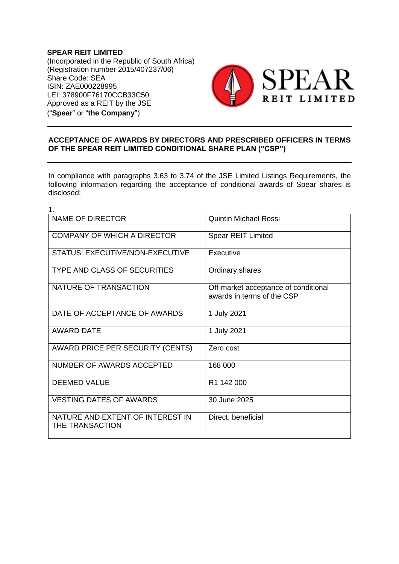**SPEAR REIT LIMITED** (Incorporated in the Republic of South Africa) (Registration number 2015/407237/06) Share Code: SEA ISIN: ZAE000228995 LEI: 378900F76170CCB33C50 Approved as a REIT by the JSE ("**Spear**" or "**the Company**")



## **ACCEPTANCE OF AWARDS BY DIRECTORS AND PRESCRIBED OFFICERS IN TERMS OF THE SPEAR REIT LIMITED CONDITIONAL SHARE PLAN ("CSP")**

In compliance with paragraphs 3.63 to 3.74 of the JSE Limited Listings Requirements, the following information regarding the acceptance of conditional awards of Spear shares is disclosed:

| 1.                                                  |                                                                    |
|-----------------------------------------------------|--------------------------------------------------------------------|
| <b>NAME OF DIRECTOR</b>                             | <b>Quintin Michael Rossi</b>                                       |
| <b>COMPANY OF WHICH A DIRECTOR</b>                  | <b>Spear REIT Limited</b>                                          |
| <b>STATUS: EXECUTIVE/NON-EXECUTIVE</b>              | Executive                                                          |
| <b>TYPE AND CLASS OF SECURITIES</b>                 | Ordinary shares                                                    |
| NATURE OF TRANSACTION                               | Off-market acceptance of conditional<br>awards in terms of the CSP |
| DATE OF ACCEPTANCE OF AWARDS                        | 1 July 2021                                                        |
| <b>AWARD DATE</b>                                   | 1 July 2021                                                        |
| AWARD PRICE PER SECURITY (CENTS)                    | Zero cost                                                          |
| NUMBER OF AWARDS ACCEPTED                           | 168 000                                                            |
| <b>DEEMED VALUE</b>                                 | R <sub>1</sub> 142 000                                             |
| <b>VESTING DATES OF AWARDS</b>                      | 30 June 2025                                                       |
| NATURE AND EXTENT OF INTEREST IN<br>THE TRANSACTION | Direct, beneficial                                                 |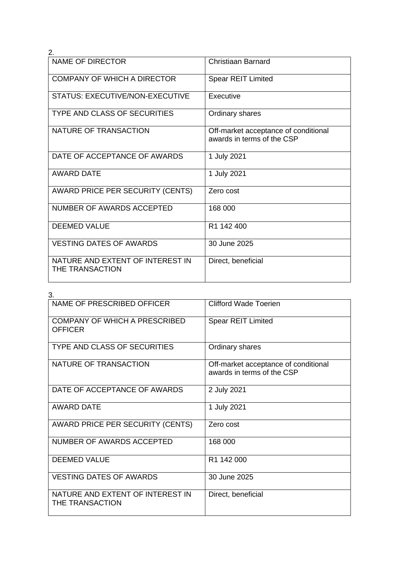| 2.                                                  |                                                                    |
|-----------------------------------------------------|--------------------------------------------------------------------|
| <b>NAME OF DIRECTOR</b>                             | Christiaan Barnard                                                 |
| <b>COMPANY OF WHICH A DIRECTOR</b>                  | <b>Spear REIT Limited</b>                                          |
| STATUS: EXECUTIVE/NON-EXECUTIVE                     | Executive                                                          |
| <b>TYPE AND CLASS OF SECURITIES</b>                 | Ordinary shares                                                    |
| NATURE OF TRANSACTION                               | Off-market acceptance of conditional<br>awards in terms of the CSP |
| DATE OF ACCEPTANCE OF AWARDS                        | 1 July 2021                                                        |
| <b>AWARD DATE</b>                                   | 1 July 2021                                                        |
| AWARD PRICE PER SECURITY (CENTS)                    | Zero cost                                                          |
| NUMBER OF AWARDS ACCEPTED                           | 168 000                                                            |
| <b>DEEMED VALUE</b>                                 | R1 142 400                                                         |
| <b>VESTING DATES OF AWARDS</b>                      | 30 June 2025                                                       |
| NATURE AND EXTENT OF INTEREST IN<br>THE TRANSACTION | Direct, beneficial                                                 |

| 3.                                                     |                                                                    |
|--------------------------------------------------------|--------------------------------------------------------------------|
| NAME OF PRESCRIBED OFFICER                             | <b>Clifford Wade Toerien</b>                                       |
| <b>COMPANY OF WHICH A PRESCRIBED</b><br><b>OFFICER</b> | <b>Spear REIT Limited</b>                                          |
| <b>TYPE AND CLASS OF SECURITIES</b>                    | Ordinary shares                                                    |
| NATURE OF TRANSACTION                                  | Off-market acceptance of conditional<br>awards in terms of the CSP |
| DATE OF ACCEPTANCE OF AWARDS                           | 2 July 2021                                                        |
| <b>AWARD DATE</b>                                      | 1 July 2021                                                        |
| <b>AWARD PRICE PER SECURITY (CENTS)</b>                | Zero cost                                                          |
| NUMBER OF AWARDS ACCEPTED                              | 168 000                                                            |
| <b>DEEMED VALUE</b>                                    | R1 142 000                                                         |
| <b>VESTING DATES OF AWARDS</b>                         | 30 June 2025                                                       |
| NATURE AND EXTENT OF INTEREST IN<br>THE TRANSACTION    | Direct, beneficial                                                 |